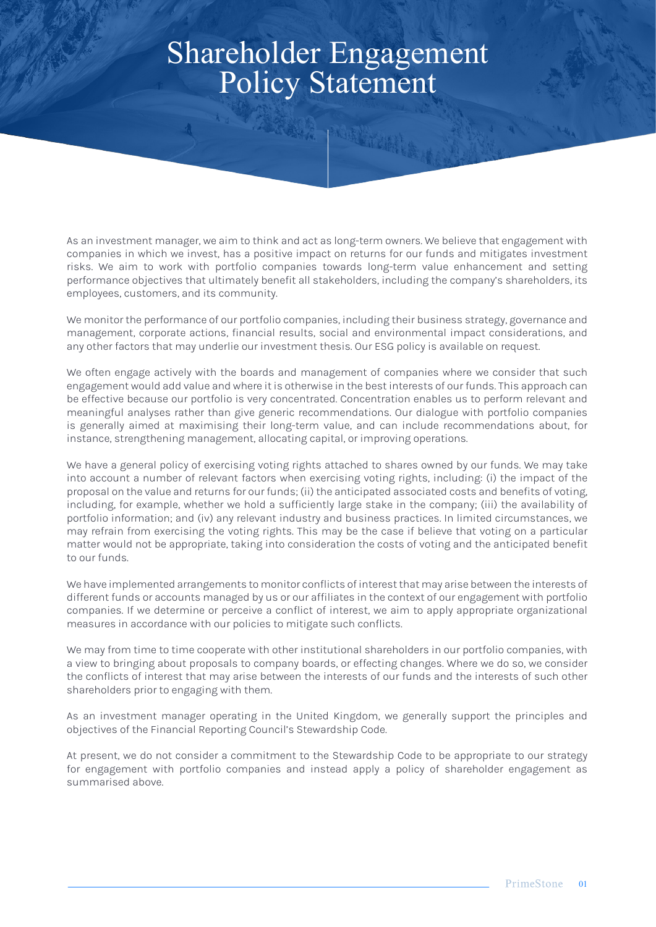# Shareholder Engagement Policy Statement

RASA PIDEREY

As an investment manager, we aim to think and act as long-term owners. We believe that engagement with companies in which we invest, has a positive impact on returns for our funds and mitigates investment risks. We aim to work with portfolio companies towards long-term value enhancement and setting performance objectives that ultimately benefit all stakeholders, including the company's shareholders, its employees, customers, and its community.

We monitor the performance of our portfolio companies, including their business strategy, governance and management, corporate actions, financial results, social and environmental impact considerations, and any other factors that may underlie our investment thesis. Our ESG policy is available on request.

We often engage actively with the boards and management of companies where we consider that such engagement would add value and where it is otherwise in the best interests of our funds. This approach can be effective because our portfolio is very concentrated. Concentration enables us to perform relevant and meaningful analyses rather than give generic recommendations. Our dialogue with portfolio companies is generally aimed at maximising their long-term value, and can include recommendations about, for instance, strengthening management, allocating capital, or improving operations.

We have a general policy of exercising voting rights attached to shares owned by our funds. We may take into account a number of relevant factors when exercising voting rights, including: (i) the impact of the proposal on the value and returns for our funds; (ii) the anticipated associated costs and benefits of voting, including, for example, whether we hold a sufficiently large stake in the company; (iii) the availability of portfolio information; and (iv) any relevant industry and business practices. In limited circumstances, we may refrain from exercising the voting rights. This may be the case if believe that voting on a particular matter would not be appropriate, taking into consideration the costs of voting and the anticipated benefit to our funds.

We have implemented arrangements to monitor conflicts of interest that may arise between the interests of different funds or accounts managed by us or our affiliates in the context of our engagement with portfolio companies. If we determine or perceive a conflict of interest, we aim to apply appropriate organizational measures in accordance with our policies to mitigate such conflicts.

We may from time to time cooperate with other institutional shareholders in our portfolio companies, with a view to bringing about proposals to company boards, or effecting changes. Where we do so, we consider the conflicts of interest that may arise between the interests of our funds and the interests of such other shareholders prior to engaging with them.

As an investment manager operating in the United Kingdom, we generally support the principles and objectives of the Financial Reporting Council's Stewardship Code.

At present, we do not consider a commitment to the Stewardship Code to be appropriate to our strategy for engagement with portfolio companies and instead apply a policy of shareholder engagement as summarised above.